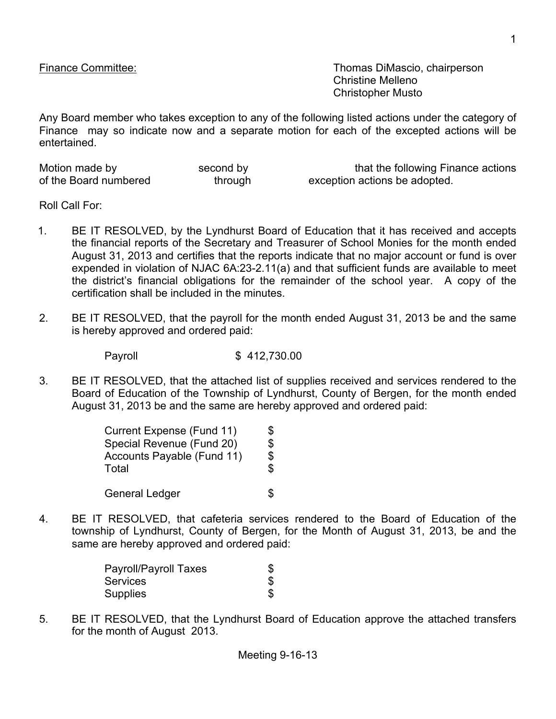Finance Committee: Thomas DiMascio, chairperson Christine Melleno Christopher Musto

Any Board member who takes exception to any of the following listed actions under the category of Finance may so indicate now and a separate motion for each of the excepted actions will be entertained.

| Motion made by        | second by | that the following Finance actions |
|-----------------------|-----------|------------------------------------|
| of the Board numbered | through   | exception actions be adopted.      |

Roll Call For:

- 1. BE IT RESOLVED, by the Lyndhurst Board of Education that it has received and accepts the financial reports of the Secretary and Treasurer of School Monies for the month ended August 31, 2013 and certifies that the reports indicate that no major account or fund is over expended in violation of NJAC 6A:23-2.11(a) and that sufficient funds are available to meet the district's financial obligations for the remainder of the school year. A copy of the certification shall be included in the minutes.
- 2. BE IT RESOLVED, that the payroll for the month ended August 31, 2013 be and the same is hereby approved and ordered paid:

Payroll \$ 412,730.00

3. BE IT RESOLVED, that the attached list of supplies received and services rendered to the Board of Education of the Township of Lyndhurst, County of Bergen, for the month ended August 31, 2013 be and the same are hereby approved and ordered paid:

| Current Expense (Fund 11)         | \$  |
|-----------------------------------|-----|
| Special Revenue (Fund 20)         | \$  |
| <b>Accounts Payable (Fund 11)</b> | \$  |
| Total                             | \$  |
| General Ledger                    | \$. |

4. BE IT RESOLVED, that cafeteria services rendered to the Board of Education of the township of Lyndhurst, County of Bergen, for the Month of August 31, 2013, be and the same are hereby approved and ordered paid:

| Payroll/Payroll Taxes | S |
|-----------------------|---|
| <b>Services</b>       |   |
| <b>Supplies</b>       |   |

5. BE IT RESOLVED, that the Lyndhurst Board of Education approve the attached transfers for the month of August 2013.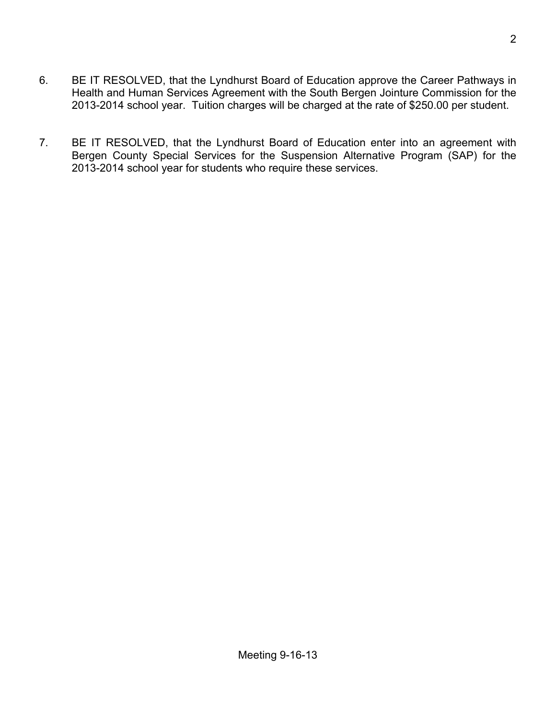- 6. BE IT RESOLVED, that the Lyndhurst Board of Education approve the Career Pathways in Health and Human Services Agreement with the South Bergen Jointure Commission for the 2013-2014 school year. Tuition charges will be charged at the rate of \$250.00 per student.
- 7. BE IT RESOLVED, that the Lyndhurst Board of Education enter into an agreement with Bergen County Special Services for the Suspension Alternative Program (SAP) for the 2013-2014 school year for students who require these services.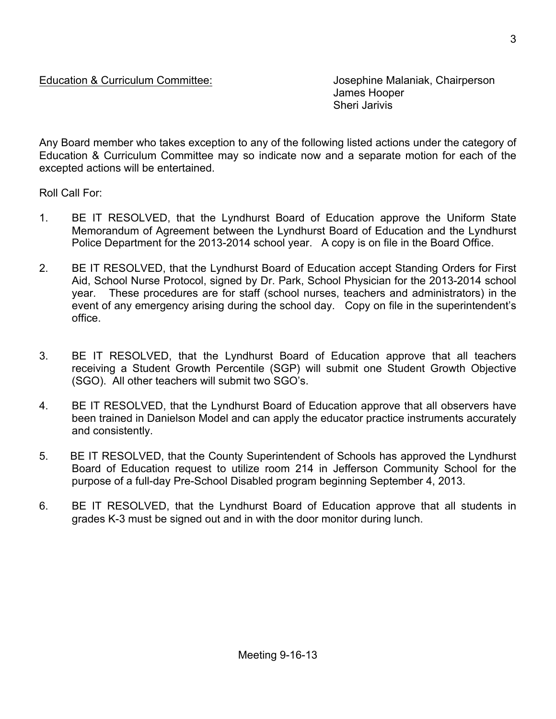James Hooper Sheri Jarivis

Any Board member who takes exception to any of the following listed actions under the category of Education & Curriculum Committee may so indicate now and a separate motion for each of the excepted actions will be entertained.

Roll Call For:

- 1. BE IT RESOLVED, that the Lyndhurst Board of Education approve the Uniform State Memorandum of Agreement between the Lyndhurst Board of Education and the Lyndhurst Police Department for the 2013-2014 school year. A copy is on file in the Board Office.
- 2. BE IT RESOLVED, that the Lyndhurst Board of Education accept Standing Orders for First Aid, School Nurse Protocol, signed by Dr. Park, School Physician for the 2013-2014 school year. These procedures are for staff (school nurses, teachers and administrators) in the event of any emergency arising during the school day. Copy on file in the superintendent's office.
- 3. BE IT RESOLVED, that the Lyndhurst Board of Education approve that all teachers receiving a Student Growth Percentile (SGP) will submit one Student Growth Objective (SGO). All other teachers will submit two SGO's.
- 4. BE IT RESOLVED, that the Lyndhurst Board of Education approve that all observers have been trained in Danielson Model and can apply the educator practice instruments accurately and consistently.
- 5. BE IT RESOLVED, that the County Superintendent of Schools has approved the Lyndhurst Board of Education request to utilize room 214 in Jefferson Community School for the purpose of a full-day Pre-School Disabled program beginning September 4, 2013.
- 6. BE IT RESOLVED, that the Lyndhurst Board of Education approve that all students in grades K-3 must be signed out and in with the door monitor during lunch.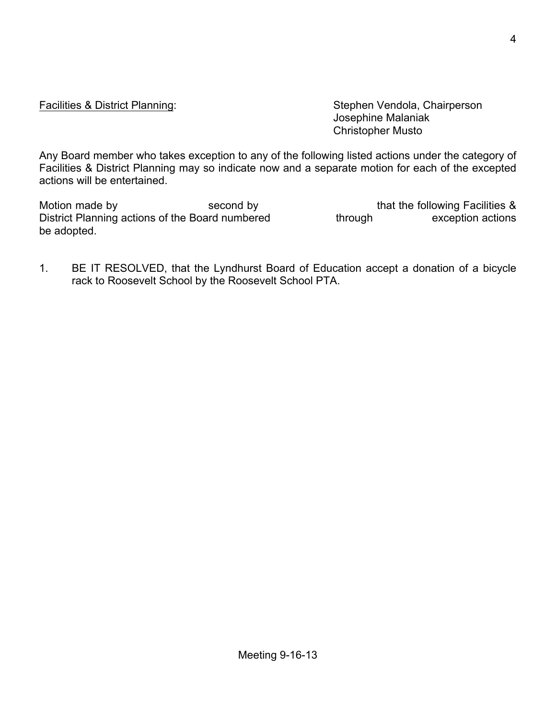Facilities & District Planning: Stephen Vendola, Chairperson Josephine Malaniak Christopher Musto

Any Board member who takes exception to any of the following listed actions under the category of Facilities & District Planning may so indicate now and a separate motion for each of the excepted actions will be entertained.

Motion made by Second by second by that the following Facilities & District Planning actions of the Board numbered through exception actions be adopted.

1. BE IT RESOLVED, that the Lyndhurst Board of Education accept a donation of a bicycle rack to Roosevelt School by the Roosevelt School PTA.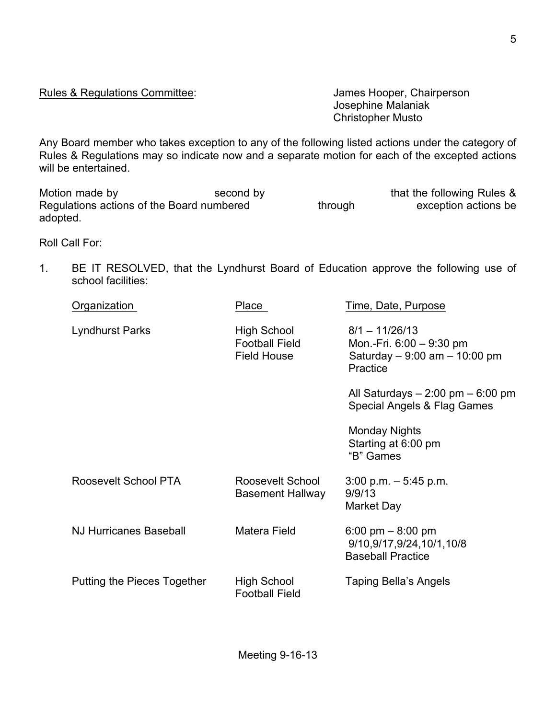5

Rules & Regulations Committee: Values And States Hooper, Chairperson

Josephine Malaniak Christopher Musto

Any Board member who takes exception to any of the following listed actions under the category of Rules & Regulations may so indicate now and a separate motion for each of the excepted actions will be entertained.

Motion made by second by second by that the following Rules & Regulations actions of the Board numbered through exception actions be adopted.

Roll Call For:

1. BE IT RESOLVED, that the Lyndhurst Board of Education approve the following use of school facilities:

| Organization                  | Place                                                             | Time, Date, Purpose                                                                         |
|-------------------------------|-------------------------------------------------------------------|---------------------------------------------------------------------------------------------|
| <b>Lyndhurst Parks</b>        | <b>High School</b><br><b>Football Field</b><br><b>Field House</b> | $8/1 - 11/26/13$<br>Mon.-Fri. 6:00 - 9:30 pm<br>Saturday $-9:00$ am $-10:00$ pm<br>Practice |
|                               |                                                                   | All Saturdays $-2:00$ pm $-6:00$ pm<br>Special Angels & Flag Games                          |
|                               |                                                                   | <b>Monday Nights</b><br>Starting at 6:00 pm<br>"B" Games                                    |
| Roosevelt School PTA          | Roosevelt School<br><b>Basement Hallway</b>                       | $3:00$ p.m. $-5:45$ p.m.<br>9/9/13<br>Market Day                                            |
| <b>NJ Hurricanes Baseball</b> | Matera Field                                                      | 6:00 pm $-$ 8:00 pm<br>9/10,9/17,9/24,10/1,10/8<br><b>Baseball Practice</b>                 |
| Putting the Pieces Together   | High School<br><b>Football Field</b>                              | Taping Bella's Angels                                                                       |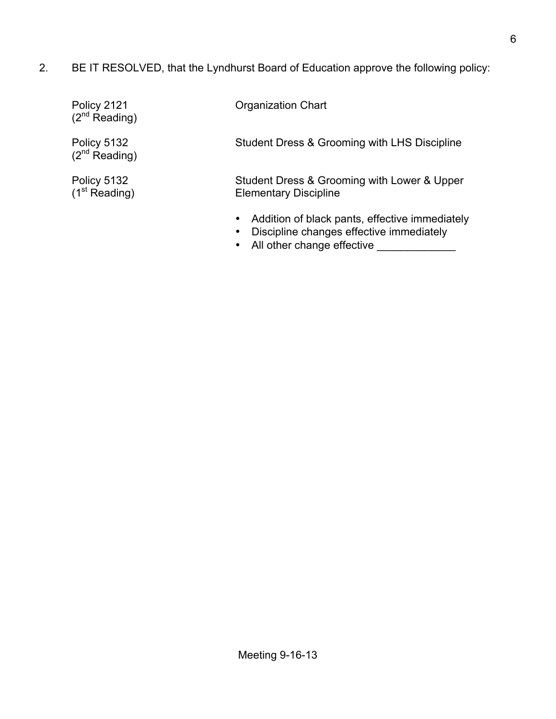2. BE IT RESOLVED, that the Lyndhurst Board of Education approve the following policy:

| Policy 2121<br>$(2^{nd}$ Reading)        | <b>Organization Chart</b>                                                   |
|------------------------------------------|-----------------------------------------------------------------------------|
| Policy 5132<br>$(2^{nd}$ Reading)        | Student Dress & Grooming with LHS Discipline                                |
| Policy 5132<br>(1 <sup>st</sup> Reading) | Student Dress & Grooming with Lower & Upper<br><b>Elementary Discipline</b> |
|                                          | Addition of black pants, effective immediately                              |

- Discipline changes effective immediately
- All other change effective \_\_\_\_\_\_\_\_\_\_\_